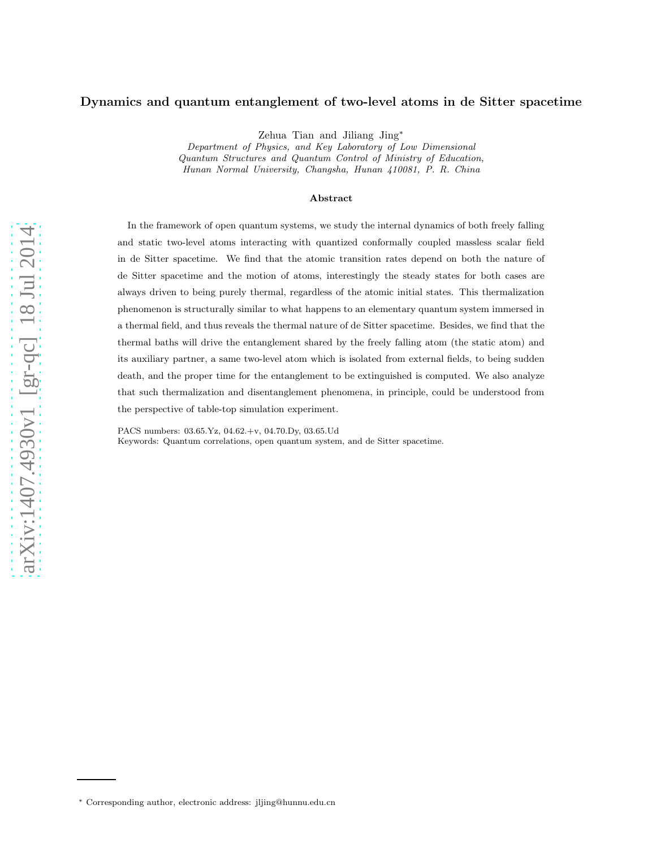# Dynamics and quantum entanglement of two-level atoms in de Sitter spacetime

Zehua Tian and Jiliang Jing<sup>\*</sup>

Department of Physics, and Key Laboratory of Low Dimensiona l Quantum Structures and Quantum Control of Ministry of Education, Hunan Normal University, Changsha, Hunan 410081, P. R. Chin a

#### Abstract

In the framework of open quantum systems, we study the internal dynamics of both freely falling and static two-level atoms interacting with quantized conformally coupled massless scalar field in de Sitter spacetime. We find that the atomic transition rates depend on both the nature of de Sitter spacetime and the motion of atoms, interestingly the steady states for both cases are always driven to being purely thermal, regardless of the atomic initial states. This thermalization phenomenon is structurally similar to what happens to an elementary quantum system immersed in a thermal field, and thus reveals the thermal nature of de Sitter spacetime. Besides, we find that the thermal baths will drive the entanglement shared by the freely falling atom (the static atom) and its auxiliary partner, a same two-level atom which is isolated from external fields, to being sudden death, and the proper time for the entanglement to be extinguished is computed. We also analyze that such thermalization and disentanglement phenomena, in principle, could be understood from the perspective of table-top simulation experiment.

PACS numbers: 03.65.Yz, 04.62.+v, 04.70.Dy, 03.65.Ud

Keywords: Quantum correlations, open quantum system, and de Sitter spacetime.

<sup>∗</sup> Corresponding author, electronic address: jljing@hunnu.edu.cn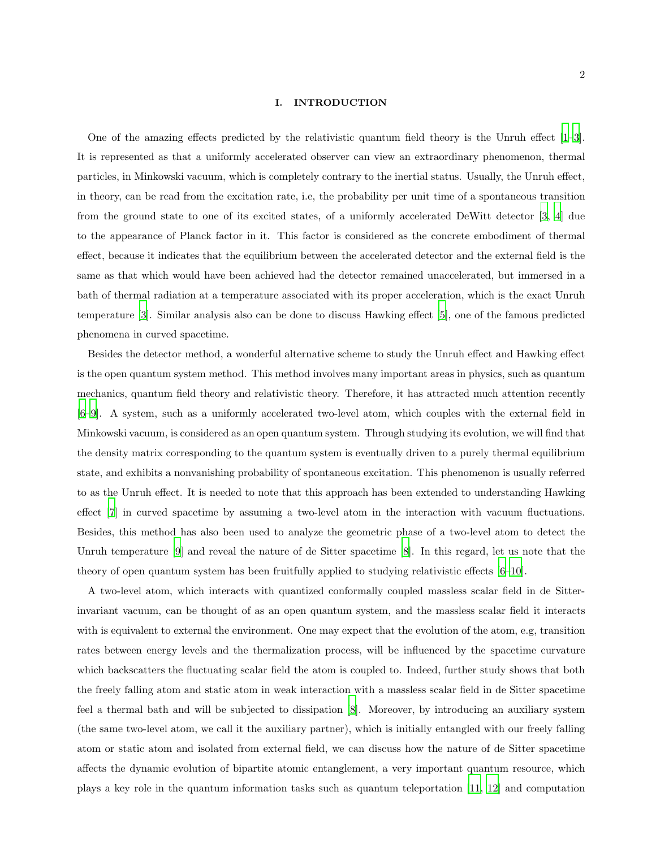#### I. INTRODUCTION

One of the amazing effects predicted by the relativistic quantum field theory is the Unruh effect [\[1](#page-14-0)[–3\]](#page-14-1). It is represented as that a uniformly accelerated observer can view an extraordinary phenomenon, thermal particles, in Minkowski vacuum, which is completely contrary to the inertial status. Usually, the Unruh effect, in theory, can be read from the excitation rate, i.e, the probability per unit time of a spontaneous transition from the ground state to one of its excited states, of a uniformly accelerated DeWitt detector [\[3](#page-14-1), [4](#page-14-2)] due to the appearance of Planck factor in it. This factor is considered as the concrete embodiment of thermal effect, because it indicates that the equilibrium between the accelerated detector and the external field is the same as that which would have been achieved had the detector remained unaccelerated, but immersed in a bath of thermal radiation at a temperature associated with its proper acceleration, which is the exact Unruh temperature [\[3\]](#page-14-1). Similar analysis also can be done to discuss Hawking effect [\[5\]](#page-14-3), one of the famous predicted phenomena in curved spacetime.

Besides the detector method, a wonderful alternative scheme to study the Unruh effect and Hawking effect is the open quantum system method. This method involves many important areas in physics, such as quantum mechanics, quantum field theory and relativistic theory. Therefore, it has attracted much attention recently [\[6](#page-14-4)[–9\]](#page-14-5). A system, such as a uniformly accelerated two-level atom, which couples with the external field in Minkowski vacuum, is considered as an open quantum system. Through studying its evolution, we will find that the density matrix corresponding to the quantum system is eventually driven to a purely thermal equilibrium state, and exhibits a nonvanishing probability of spontaneous excitation. This phenomenon is usually referred to as the Unruh effect. It is needed to note that this approach has been extended to understanding Hawking effect [\[7](#page-14-6)] in curved spacetime by assuming a two-level atom in the interaction with vacuum fluctuations. Besides, this method has also been used to analyze the geometric phase of a two-level atom to detect the Unruh temperature [\[9\]](#page-14-5) and reveal the nature of de Sitter spacetime [\[8\]](#page-14-7). In this regard, let us note that the theory of open quantum system has been fruitfully applied to studying relativistic effects [\[6](#page-14-4)[–10\]](#page-14-8).

A two-level atom, which interacts with quantized conformally coupled massless scalar field in de Sitterinvariant vacuum, can be thought of as an open quantum system, and the massless scalar field it interacts with is equivalent to external the environment. One may expect that the evolution of the atom, e.g, transition rates between energy levels and the thermalization process, will be influenced by the spacetime curvature which backscatters the fluctuating scalar field the atom is coupled to. Indeed, further study shows that both the freely falling atom and static atom in weak interaction with a massless scalar field in de Sitter spacetime feel a thermal bath and will be subjected to dissipation [\[8\]](#page-14-7). Moreover, by introducing an auxiliary system (the same two-level atom, we call it the auxiliary partner), which is initially entangled with our freely falling atom or static atom and isolated from external field, we can discuss how the nature of de Sitter spacetime affects the dynamic evolution of bipartite atomic entanglement, a very important quantum resource, which plays a key role in the quantum information tasks such as quantum teleportation [\[11,](#page-14-9) [12\]](#page-14-10) and computation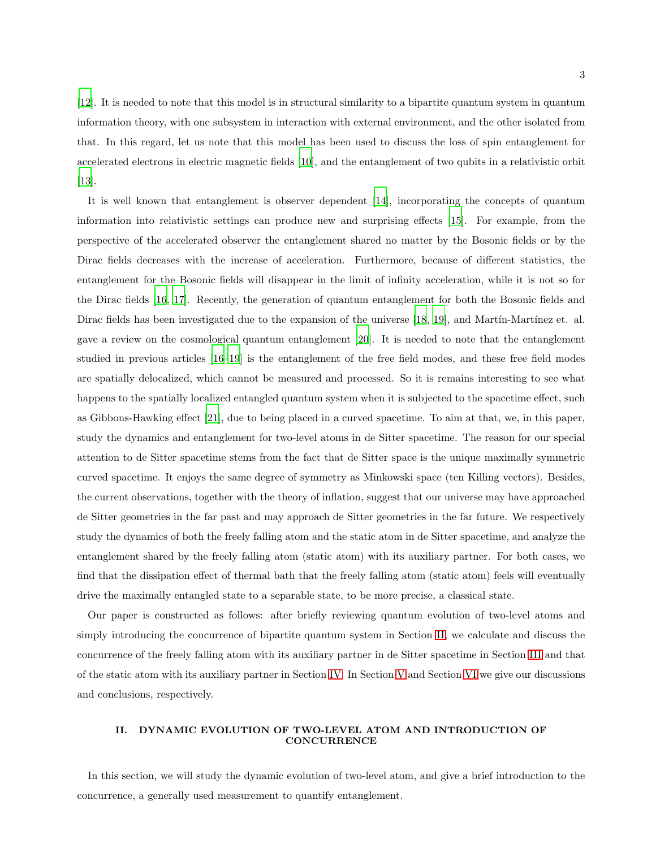[\[12\]](#page-14-10). It is needed to note that this model is in structural similarity to a bipartite quantum system in quantum information theory, with one subsystem in interaction with external environment, and the other isolated from that. In this regard, let us note that this model has been used to discuss the loss of spin entanglement for accelerated electrons in electric magnetic fields [\[10\]](#page-14-8), and the entanglement of two qubits in a relativistic orbit [\[13\]](#page-14-11).

It is well known that entanglement is observer dependent [\[14\]](#page-14-12), incorporating the concepts of quantum information into relativistic settings can produce new and surprising effects [\[15\]](#page-14-13). For example, from the perspective of the accelerated observer the entanglement shared no matter by the Bosonic fields or by the Dirac fields decreases with the increase of acceleration. Furthermore, because of different statistics, the entanglement for the Bosonic fields will disappear in the limit of infinity acceleration, while it is not so for the Dirac fields [\[16,](#page-14-14) [17](#page-14-15)]. Recently, the generation of quantum entanglement for both the Bosonic fields and Dirac fields has been investigated due to the expansion of the universe [\[18](#page-14-16), [19\]](#page-14-17), and Martín-Martínez et. al. gave a review on the cosmological quantum entanglement [\[20](#page-14-18)]. It is needed to note that the entanglement studied in previous articles [\[16](#page-14-14)[–19\]](#page-14-17) is the entanglement of the free field modes, and these free field modes are spatially delocalized, which cannot be measured and processed. So it is remains interesting to see what happens to the spatially localized entangled quantum system when it is subjected to the spacetime effect, such as Gibbons-Hawking effect [\[21\]](#page-14-19), due to being placed in a curved spacetime. To aim at that, we, in this paper, study the dynamics and entanglement for two-level atoms in de Sitter spacetime. The reason for our special attention to de Sitter spacetime stems from the fact that de Sitter space is the unique maximally symmetric curved spacetime. It enjoys the same degree of symmetry as Minkowski space (ten Killing vectors). Besides, the current observations, together with the theory of inflation, suggest that our universe may have approached de Sitter geometries in the far past and may approach de Sitter geometries in the far future. We respectively study the dynamics of both the freely falling atom and the static atom in de Sitter spacetime, and analyze the entanglement shared by the freely falling atom (static atom) with its auxiliary partner. For both cases, we find that the dissipation effect of thermal bath that the freely falling atom (static atom) feels will eventually drive the maximally entangled state to a separable state, to be more precise, a classical state.

Our paper is constructed as follows: after briefly reviewing quantum evolution of two-level atoms and simply introducing the concurrence of bipartite quantum system in Section [II,](#page-2-0) we calculate and discuss the concurrence of the freely falling atom with its auxiliary partner in de Sitter spacetime in Section [III](#page-5-0) and that of the static atom with its auxiliary partner in Section [IV.](#page-9-0) In Section [V](#page-12-0) and Section [VI](#page-13-0) we give our discussions and conclusions, respectively.

## <span id="page-2-0"></span>II. DYNAMIC EVOLUTION OF TWO-LEVEL ATOM AND INTRODUCTION OF **CONCURRENCE**

In this section, we will study the dynamic evolution of two-level atom, and give a brief introduction to the concurrence, a generally used measurement to quantify entanglement.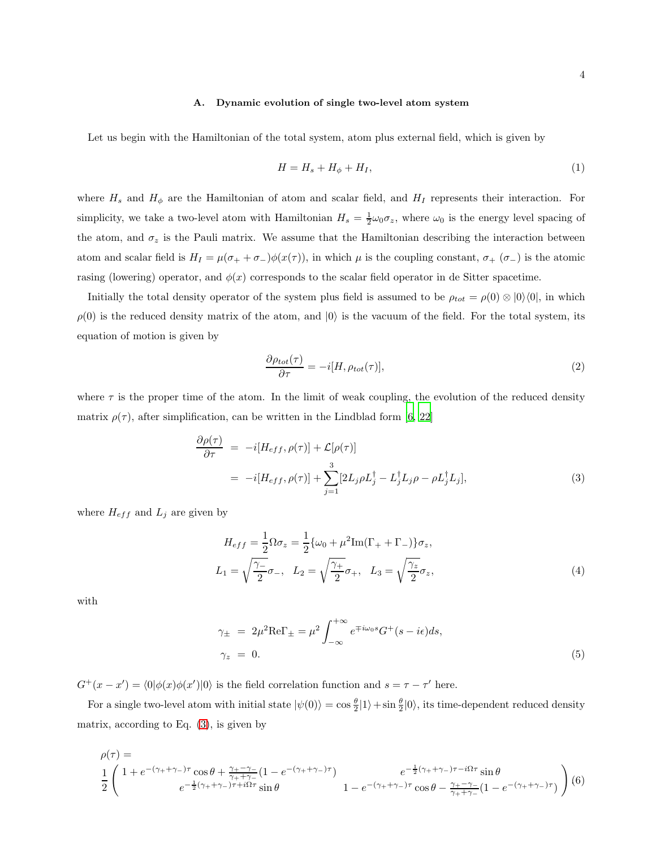#### A. Dynamic evolution of single two-level atom system

Let us begin with the Hamiltonian of the total system, atom plus external field, which is given by

$$
H = H_s + H_\phi + H_I,\tag{1}
$$

where  $H_s$  and  $H_{\phi}$  are the Hamiltonian of atom and scalar field, and  $H_I$  represents their interaction. For simplicity, we take a two-level atom with Hamiltonian  $H_s = \frac{1}{2}\omega_0 \sigma_z$ , where  $\omega_0$  is the energy level spacing of the atom, and  $\sigma_z$  is the Pauli matrix. We assume that the Hamiltonian describing the interaction between atom and scalar field is  $H_I = \mu(\sigma_+ + \sigma_-)\phi(x(\tau))$ , in which  $\mu$  is the coupling constant,  $\sigma_+$  ( $\sigma_-$ ) is the atomic rasing (lowering) operator, and  $\phi(x)$  corresponds to the scalar field operator in de Sitter spacetime.

Initially the total density operator of the system plus field is assumed to be  $\rho_{tot} = \rho(0) \otimes |0\rangle\langle 0|$ , in which  $\rho(0)$  is the reduced density matrix of the atom, and  $|0\rangle$  is the vacuum of the field. For the total system, its equation of motion is given by

$$
\frac{\partial \rho_{tot}(\tau)}{\partial \tau} = -i[H, \rho_{tot}(\tau)],\tag{2}
$$

where  $\tau$  is the proper time of the atom. In the limit of weak coupling, the evolution of the reduced density matrix  $\rho(\tau)$ , after simplification, can be written in the Lindblad form [\[6,](#page-14-4) [22\]](#page-14-20)

<span id="page-3-0"></span>
$$
\frac{\partial \rho(\tau)}{\partial \tau} = -i[H_{eff}, \rho(\tau)] + \mathcal{L}[\rho(\tau)]
$$
  
= 
$$
-i[H_{eff}, \rho(\tau)] + \sum_{j=1}^{3} [2L_j \rho L_j^{\dagger} - L_j^{\dagger} L_j \rho - \rho L_j^{\dagger} L_j],
$$
 (3)

where  $H_{eff}$  and  $L_j$  are given by

$$
H_{eff} = \frac{1}{2}\Omega\sigma_z = \frac{1}{2}\{\omega_0 + \mu^2 \text{Im}(\Gamma_+ + \Gamma_-)\}\sigma_z,
$$
  

$$
L_1 = \sqrt{\frac{\gamma_-}{2}}\sigma_- , \quad L_2 = \sqrt{\frac{\gamma_+}{2}}\sigma_+, \quad L_3 = \sqrt{\frac{\gamma_z}{2}}\sigma_z,
$$
 (4)

with

$$
\gamma_{\pm} = 2\mu^2 \text{Re}\Gamma_{\pm} = \mu^2 \int_{-\infty}^{+\infty} e^{\mp i\omega_0 s} G^+(s - i\epsilon) ds,
$$
  

$$
\gamma_z = 0.
$$
 (5)

 $G^+(x-x') = \langle 0 | \phi(x) \phi(x') | 0 \rangle$  is the field correlation function and  $s = \tau - \tau'$  here.

For a single two-level atom with initial state  $|\psi(0)\rangle = \cos\frac{\theta}{2}|1\rangle + \sin\frac{\theta}{2}|0\rangle$ , its time-dependent reduced density matrix, according to Eq.  $(3)$ , is given by

<span id="page-3-1"></span>
$$
\rho(\tau) =
$$
\n
$$
\frac{1}{2} \left( 1 + e^{-(\gamma_{+} + \gamma_{-})\tau} \cos \theta + \frac{\gamma_{+} - \gamma_{-}}{\gamma_{+} + \gamma_{-}} (1 - e^{-(\gamma_{+} + \gamma_{-})\tau}) \right)
$$
\n
$$
e^{-\frac{1}{2}(\gamma_{+} + \gamma_{-})\tau + i\Omega\tau} \sin \theta
$$
\n
$$
1 - e^{-(\gamma_{+} + \gamma_{-})\tau} \cos \theta - \frac{\gamma_{+} - \gamma_{-}}{\gamma_{+} + \gamma_{-}} (1 - e^{-(\gamma_{+} + \gamma_{-})\tau}) \right) (6)
$$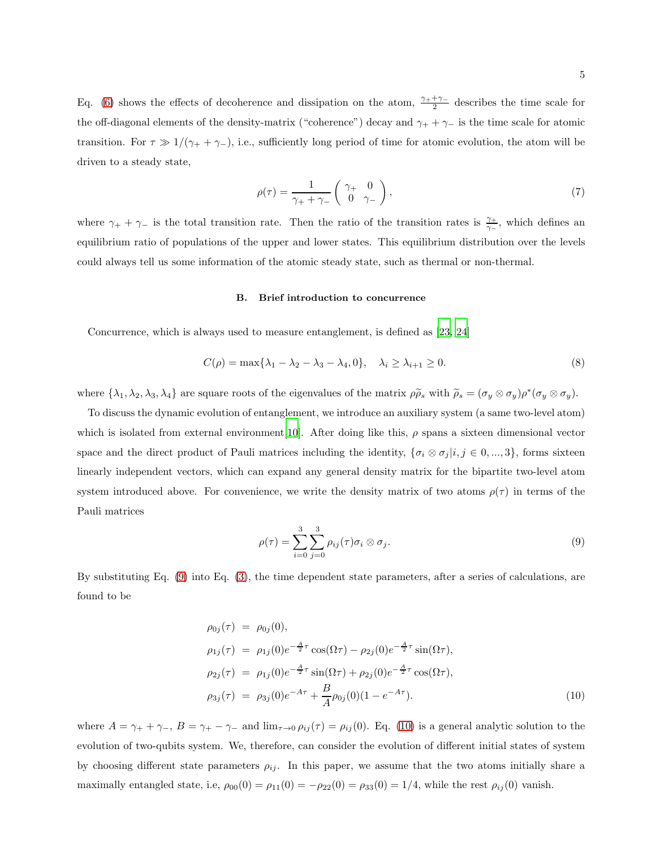Eq. [\(6\)](#page-3-1) shows the effects of decoherence and dissipation on the atom,  $\frac{\gamma_+ + \gamma_-}{2}$  $\frac{+ \gamma -}{2}$  describes the time scale for the off-diagonal elements of the density-matrix ("coherence") decay and  $\gamma_+ + \gamma_-$  is the time scale for atomic transition. For  $\tau \gg 1/(\gamma_+ + \gamma_-)$ , i.e., sufficiently long period of time for atomic evolution, the atom will be driven to a steady state,

$$
\rho(\tau) = \frac{1}{\gamma_+ + \gamma_-} \begin{pmatrix} \gamma_+ & 0\\ 0 & \gamma_- \end{pmatrix},\tag{7}
$$

where  $\gamma_+ + \gamma_-$  is the total transition rate. Then the ratio of the transition rates is  $\frac{\gamma_+}{\gamma_-}$ , which defines an equilibrium ratio of populations of the upper and lower states. This equilibrium distribution over the levels could always tell us some information of the atomic steady state, such as thermal or non-thermal.

## B. Brief introduction to concurrence

Concurrence, which is always used to measure entanglement, is defined as [\[23](#page-14-21), [24](#page-14-22)]

$$
C(\rho) = \max\{\lambda_1 - \lambda_2 - \lambda_3 - \lambda_4, 0\}, \quad \lambda_i \ge \lambda_{i+1} \ge 0.
$$
\n
$$
(8)
$$

where  $\{\lambda_1, \lambda_2, \lambda_3, \lambda_4\}$  are square roots of the eigenvalues of the matrix  $\rho \widetilde{\rho}_s$  with  $\widetilde{\rho}_s = (\sigma_y \otimes \sigma_y)\rho^*(\sigma_y \otimes \sigma_y)$ .

To discuss the dynamic evolution of entanglement, we introduce an auxiliary system (a same two-level atom) which is isolated from external environment [\[10](#page-14-8)]. After doing like this,  $\rho$  spans a sixteen dimensional vector space and the direct product of Pauli matrices including the identity,  $\{\sigma_i \otimes \sigma_j | i, j \in 0, ..., 3\}$ , forms sixteen linearly independent vectors, which can expand any general density matrix for the bipartite two-level atom system introduced above. For convenience, we write the density matrix of two atoms  $\rho(\tau)$  in terms of the Pauli matrices

<span id="page-4-0"></span>
$$
\rho(\tau) = \sum_{i=0}^{3} \sum_{j=0}^{3} \rho_{ij}(\tau) \sigma_i \otimes \sigma_j.
$$
\n(9)

By substituting Eq. [\(9\)](#page-4-0) into Eq. [\(3\)](#page-3-0), the time dependent state parameters, after a series of calculations, are found to be

<span id="page-4-1"></span>
$$
\rho_{0j}(\tau) = \rho_{0j}(0), \n\rho_{1j}(\tau) = \rho_{1j}(0)e^{-\frac{A}{2}\tau}\cos(\Omega\tau) - \rho_{2j}(0)e^{-\frac{A}{2}\tau}\sin(\Omega\tau), \n\rho_{2j}(\tau) = \rho_{1j}(0)e^{-\frac{A}{2}\tau}\sin(\Omega\tau) + \rho_{2j}(0)e^{-\frac{A}{2}\tau}\cos(\Omega\tau), \n\rho_{3j}(\tau) = \rho_{3j}(0)e^{-A\tau} + \frac{B}{A}\rho_{0j}(0)(1 - e^{-A\tau}).
$$
\n(10)

where  $A = \gamma_+ + \gamma_-, B = \gamma_+ - \gamma_-$  and  $\lim_{\tau \to 0} \rho_{ij}(\tau) = \rho_{ij}(0)$ . Eq. [\(10\)](#page-4-1) is a general analytic solution to the evolution of two-qubits system. We, therefore, can consider the evolution of different initial states of system by choosing different state parameters  $\rho_{ij}$ . In this paper, we assume that the two atoms initially share a maximally entangled state, i.e,  $\rho_{00}(0) = \rho_{11}(0) = -\rho_{22}(0) = \rho_{33}(0) = 1/4$ , while the rest  $\rho_{ij}(0)$  vanish.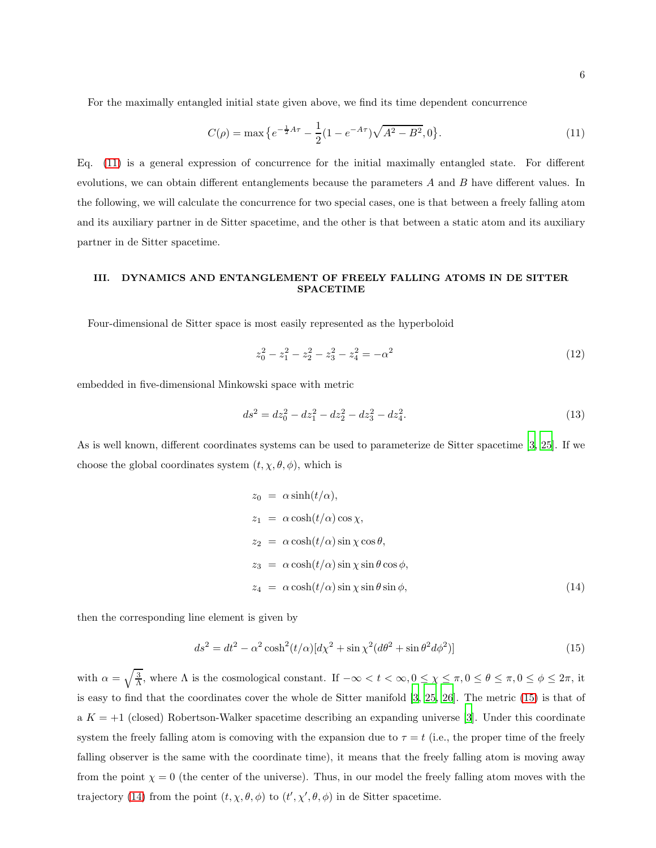For the maximally entangled initial state given above, we find its time dependent concurrence

<span id="page-5-1"></span>
$$
C(\rho) = \max \left\{ e^{-\frac{1}{2}A\tau} - \frac{1}{2}(1 - e^{-A\tau})\sqrt{A^2 - B^2}, 0 \right\}.
$$
 (11)

Eq. [\(11\)](#page-5-1) is a general expression of concurrence for the initial maximally entangled state. For different evolutions, we can obtain different entanglements because the parameters A and B have different values. In the following, we will calculate the concurrence for two special cases, one is that between a freely falling atom and its auxiliary partner in de Sitter spacetime, and the other is that between a static atom and its auxiliary partner in de Sitter spacetime.

# <span id="page-5-0"></span>III. DYNAMICS AND ENTANGLEMENT OF FREELY FALLING ATOMS IN DE SITTER SPACETIME

Four-dimensional de Sitter space is most easily represented as the hyperboloid

$$
z_0^2 - z_1^2 - z_2^2 - z_3^2 - z_4^2 = -\alpha^2 \tag{12}
$$

embedded in five-dimensional Minkowski space with metric

$$
ds^2 = dz_0^2 - dz_1^2 - dz_2^2 - dz_3^2 - dz_4^2.
$$
\n(13)

As is well known, different coordinates systems can be used to parameterize de Sitter spacetime [\[3](#page-14-1), [25](#page-14-23)]. If we choose the global coordinates system  $(t, \chi, \theta, \phi)$ , which is

<span id="page-5-3"></span>
$$
z_0 = \alpha \sinh(t/\alpha),
$$
  
\n
$$
z_1 = \alpha \cosh(t/\alpha) \cos \chi,
$$
  
\n
$$
z_2 = \alpha \cosh(t/\alpha) \sin \chi \cos \theta,
$$
  
\n
$$
z_3 = \alpha \cosh(t/\alpha) \sin \chi \sin \theta \cos \phi,
$$
  
\n
$$
z_4 = \alpha \cosh(t/\alpha) \sin \chi \sin \theta \sin \phi,
$$
\n(14)

then the corresponding line element is given by

<span id="page-5-2"></span>
$$
ds2 = dt2 - \alpha2 \cosh2(t/\alpha)[d\chi2 + \sin \chi2(d\theta2 + \sin \theta2d\phi2)]
$$
\n(15)

with  $\alpha = \sqrt{\frac{3}{\Lambda}}$ , where  $\Lambda$  is the cosmological constant. If  $-\infty < t < \infty$ ,  $0 \le \chi \le \pi$ ,  $0 \le \theta \le \pi$ ,  $0 \le \phi \le 2\pi$ , it is easy to find that the coordinates cover the whole de Sitter manifold [\[3,](#page-14-1) [25,](#page-14-23) [26\]](#page-14-24). The metric [\(15\)](#page-5-2) is that of a  $K = +1$  (closed) Robertson-Walker spacetime describing an expanding universe [\[3\]](#page-14-1). Under this coordinate system the freely falling atom is comoving with the expansion due to  $\tau = t$  (i.e., the proper time of the freely falling observer is the same with the coordinate time), it means that the freely falling atom is moving away from the point  $\chi = 0$  (the center of the universe). Thus, in our model the freely falling atom moves with the trajectory [\(14\)](#page-5-3) from the point  $(t, \chi, \theta, \phi)$  to  $(t', \chi', \theta, \phi)$  in de Sitter spacetime.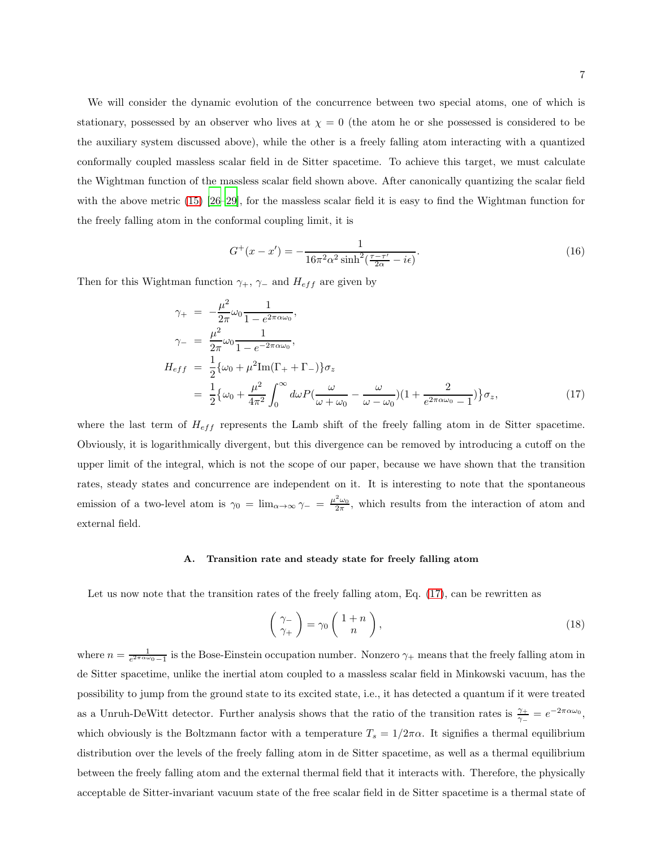We will consider the dynamic evolution of the concurrence between two special atoms, one of which is stationary, possessed by an observer who lives at  $\chi = 0$  (the atom he or she possessed is considered to be the auxiliary system discussed above), while the other is a freely falling atom interacting with a quantized conformally coupled massless scalar field in de Sitter spacetime. To achieve this target, we must calculate the Wightman function of the massless scalar field shown above. After canonically quantizing the scalar field with the above metric [\(15\)](#page-5-2) [\[26](#page-14-24)[–29\]](#page-14-25), for the massless scalar field it is easy to find the Wightman function for the freely falling atom in the conformal coupling limit, it is

<span id="page-6-1"></span>
$$
G^{+}(x-x') = -\frac{1}{16\pi^{2}\alpha^{2}\sinh^{2}(\frac{\tau-\tau'}{2\alpha}-i\epsilon)}.
$$
\n(16)

Then for this Wightman function  $\gamma_+$ ,  $\gamma_-$  and  $H_{eff}$  are given by

<span id="page-6-0"></span>
$$
\gamma_{+} = -\frac{\mu^{2}}{2\pi}\omega_{0}\frac{1}{1 - e^{2\pi\alpha\omega_{0}}},
$$
\n
$$
\gamma_{-} = \frac{\mu^{2}}{2\pi}\omega_{0}\frac{1}{1 - e^{-2\pi\alpha\omega_{0}}},
$$
\n
$$
H_{eff} = \frac{1}{2}\{\omega_{0} + \mu^{2}\text{Im}(\Gamma_{+} + \Gamma_{-})\}\sigma_{z}
$$
\n
$$
= \frac{1}{2}\{\omega_{0} + \frac{\mu^{2}}{4\pi^{2}}\int_{0}^{\infty}d\omega P(\frac{\omega}{\omega + \omega_{0}} - \frac{\omega}{\omega - \omega_{0}})(1 + \frac{2}{e^{2\pi\alpha\omega_{0}} - 1})\}\sigma_{z},
$$
\n(17)

where the last term of  $H_{eff}$  represents the Lamb shift of the freely falling atom in de Sitter spacetime. Obviously, it is logarithmically divergent, but this divergence can be removed by introducing a cutoff on the upper limit of the integral, which is not the scope of our paper, because we have shown that the transition rates, steady states and concurrence are independent on it. It is interesting to note that the spontaneous emission of a two-level atom is  $\gamma_0 = \lim_{\alpha \to \infty} \gamma_- = \frac{\mu^2 \omega_0}{2\pi}$ , which results from the interaction of atom and external field.

#### A. Transition rate and steady state for freely falling atom

Let us now note that the transition rates of the freely falling atom, Eq.  $(17)$ , can be rewritten as

$$
\begin{pmatrix} \gamma_{-} \\ \gamma_{+} \end{pmatrix} = \gamma_{0} \begin{pmatrix} 1+n \\ n \end{pmatrix}, \tag{18}
$$

where  $n = \frac{1}{e^{2\pi\alpha\omega_0} - 1}$  is the Bose-Einstein occupation number. Nonzero  $\gamma_+$  means that the freely falling atom in de Sitter spacetime, unlike the inertial atom coupled to a massless scalar field in Minkowski vacuum, has the possibility to jump from the ground state to its excited state, i.e., it has detected a quantum if it were treated as a Unruh-DeWitt detector. Further analysis shows that the ratio of the transition rates is  $\frac{\gamma_+}{\gamma_-} = e^{-2\pi\alpha\omega_0}$ , which obviously is the Boltzmann factor with a temperature  $T_s = 1/2\pi\alpha$ . It signifies a thermal equilibrium distribution over the levels of the freely falling atom in de Sitter spacetime, as well as a thermal equilibrium between the freely falling atom and the external thermal field that it interacts with. Therefore, the physically acceptable de Sitter-invariant vacuum state of the free scalar field in de Sitter spacetime is a thermal state of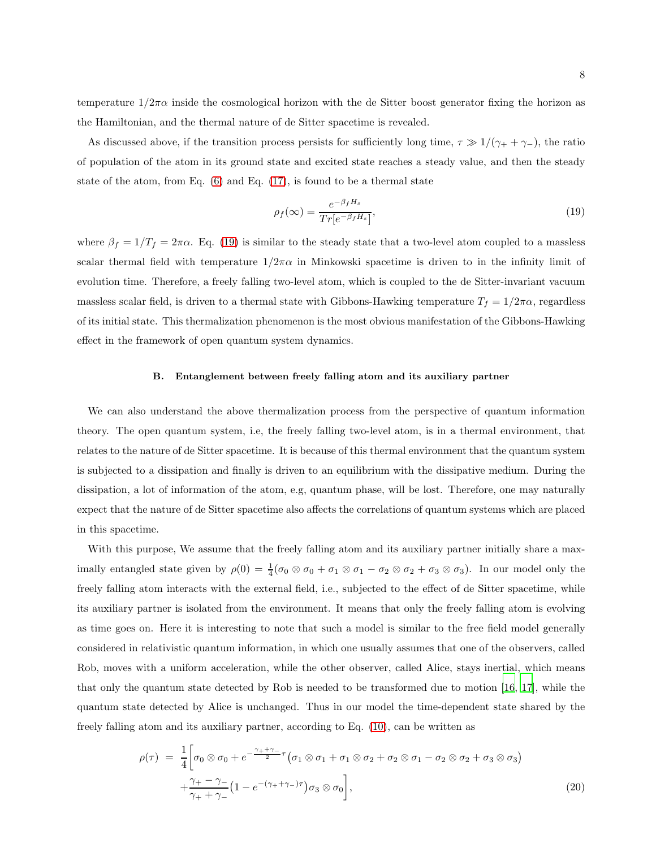temperature  $1/2\pi\alpha$  inside the cosmological horizon with the de Sitter boost generator fixing the horizon as the Hamiltonian, and the thermal nature of de Sitter spacetime is revealed.

As discussed above, if the transition process persists for sufficiently long time,  $\tau \gg 1/(\gamma_+ + \gamma_-)$ , the ratio of population of the atom in its ground state and excited state reaches a steady value, and then the steady state of the atom, from Eq.  $(6)$  and Eq.  $(17)$ , is found to be a thermal state

<span id="page-7-0"></span>
$$
\rho_f(\infty) = \frac{e^{-\beta_f H_s}}{Tr[e^{-\beta_f H_s}]},\tag{19}
$$

where  $\beta_f = 1/T_f = 2\pi\alpha$ . Eq. [\(19\)](#page-7-0) is similar to the steady state that a two-level atom coupled to a massless scalar thermal field with temperature  $1/2\pi\alpha$  in Minkowski spacetime is driven to in the infinity limit of evolution time. Therefore, a freely falling two-level atom, which is coupled to the de Sitter-invariant vacuum massless scalar field, is driven to a thermal state with Gibbons-Hawking temperature  $T_f = 1/2\pi\alpha$ , regardless of its initial state. This thermalization phenomenon is the most obvious manifestation of the Gibbons-Hawking effect in the framework of open quantum system dynamics.

### B. Entanglement between freely falling atom and its auxiliary partner

We can also understand the above thermalization process from the perspective of quantum information theory. The open quantum system, i.e, the freely falling two-level atom, is in a thermal environment, that relates to the nature of de Sitter spacetime. It is because of this thermal environment that the quantum system is subjected to a dissipation and finally is driven to an equilibrium with the dissipative medium. During the dissipation, a lot of information of the atom, e.g, quantum phase, will be lost. Therefore, one may naturally expect that the nature of de Sitter spacetime also affects the correlations of quantum systems which are placed in this spacetime.

With this purpose, We assume that the freely falling atom and its auxiliary partner initially share a maximally entangled state given by  $\rho(0) = \frac{1}{4} (\sigma_0 \otimes \sigma_0 + \sigma_1 \otimes \sigma_1 - \sigma_2 \otimes \sigma_2 + \sigma_3 \otimes \sigma_3)$ . In our model only the freely falling atom interacts with the external field, i.e., subjected to the effect of de Sitter spacetime, while its auxiliary partner is isolated from the environment. It means that only the freely falling atom is evolving as time goes on. Here it is interesting to note that such a model is similar to the free field model generally considered in relativistic quantum information, in which one usually assumes that one of the observers, called Rob, moves with a uniform acceleration, while the other observer, called Alice, stays inertial, which means that only the quantum state detected by Rob is needed to be transformed due to motion [\[16,](#page-14-14) [17\]](#page-14-15), while the quantum state detected by Alice is unchanged. Thus in our model the time-dependent state shared by the freely falling atom and its auxiliary partner, according to Eq. [\(10\)](#page-4-1), can be written as

<span id="page-7-1"></span>
$$
\rho(\tau) = \frac{1}{4} \bigg[ \sigma_0 \otimes \sigma_0 + e^{-\frac{\gamma_+ + \gamma_-}{2} \tau} \big( \sigma_1 \otimes \sigma_1 + \sigma_1 \otimes \sigma_2 + \sigma_2 \otimes \sigma_1 - \sigma_2 \otimes \sigma_2 + \sigma_3 \otimes \sigma_3 \big) + \frac{\gamma_+ - \gamma_-}{\gamma_+ + \gamma_-} \big( 1 - e^{-(\gamma_+ + \gamma_-)\tau} \big) \sigma_3 \otimes \sigma_0 \bigg], \tag{20}
$$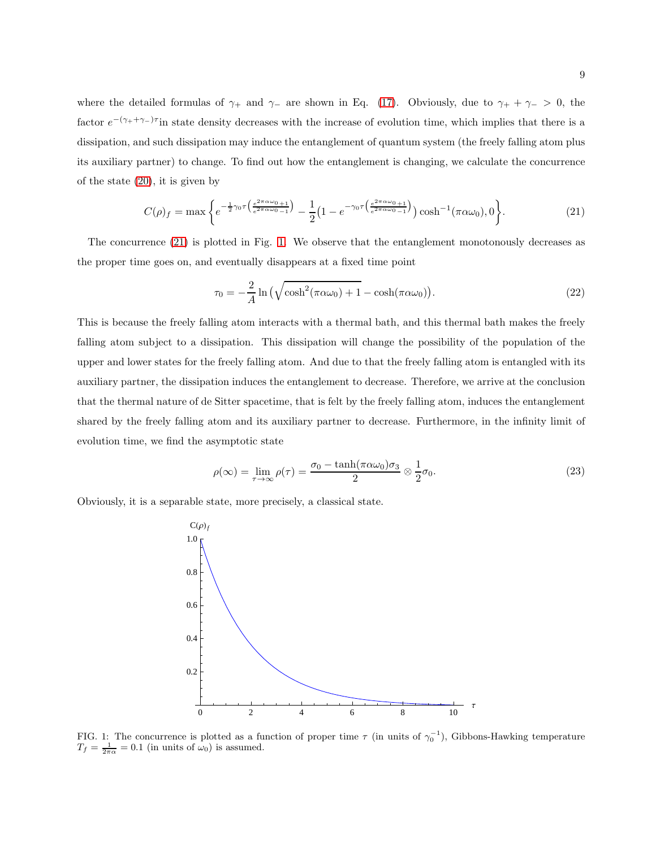where the detailed formulas of  $\gamma_+$  and  $\gamma_-$  are shown in Eq. [\(17\)](#page-6-0). Obviously, due to  $\gamma_+ + \gamma_- > 0$ , the factor  $e^{-(\gamma_+ + \gamma_-)\tau}$  in state density decreases with the increase of evolution time, which implies that there is a dissipation, and such dissipation may induce the entanglement of quantum system (the freely falling atom plus its auxiliary partner) to change. To find out how the entanglement is changing, we calculate the concurrence of the state [\(20\)](#page-7-1), it is given by

<span id="page-8-0"></span>
$$
C(\rho)_f = \max \bigg\{ e^{-\frac{1}{2}\gamma_0 \tau \left(\frac{e^{2\pi \alpha \omega_0}+1}{e^{2\pi \alpha \omega_0}-1}\right)} - \frac{1}{2} \left(1 - e^{-\gamma_0 \tau \left(\frac{e^{2\pi \alpha \omega_0}+1}{e^{2\pi \alpha \omega_0}-1}\right)}\right) \cosh^{-1}(\pi \alpha \omega_0), 0 \bigg\}.
$$
 (21)

The concurrence [\(21\)](#page-8-0) is plotted in Fig. [1.](#page-8-1) We observe that the entanglement monotonously decreases as the proper time goes on, and eventually disappears at a fixed time point

$$
\tau_0 = -\frac{2}{A} \ln \left( \sqrt{\cosh^2(\pi \alpha \omega_0) + 1} - \cosh(\pi \alpha \omega_0) \right).
$$
 (22)

This is because the freely falling atom interacts with a thermal bath, and this thermal bath makes the freely falling atom subject to a dissipation. This dissipation will change the possibility of the population of the upper and lower states for the freely falling atom. And due to that the freely falling atom is entangled with its auxiliary partner, the dissipation induces the entanglement to decrease. Therefore, we arrive at the conclusion that the thermal nature of de Sitter spacetime, that is felt by the freely falling atom, induces the entanglement shared by the freely falling atom and its auxiliary partner to decrease. Furthermore, in the infinity limit of evolution time, we find the asymptotic state

$$
\rho(\infty) = \lim_{\tau \to \infty} \rho(\tau) = \frac{\sigma_0 - \tanh(\pi \alpha \omega_0) \sigma_3}{2} \otimes \frac{1}{2} \sigma_0.
$$
\n(23)

Obviously, it is a separable state, more precisely, a classical state.



<span id="page-8-1"></span>FIG. 1: The concurrence is plotted as a function of proper time  $\tau$  (in units of  $\gamma_0^{-1}$ ), Gibbons-Hawking temperature  $T_f = \frac{1}{2\pi\alpha} = 0.1$  (in units of  $\omega_0$ ) is assumed.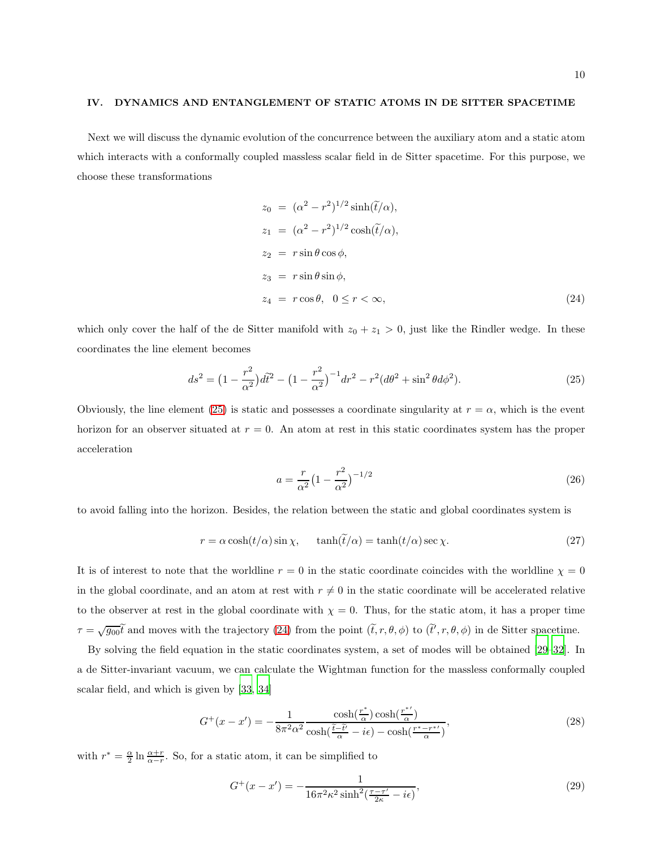<span id="page-9-0"></span>Next we will discuss the dynamic evolution of the concurrence between the auxiliary atom and a static atom which interacts with a conformally coupled massless scalar field in de Sitter spacetime. For this purpose, we choose these transformations

<span id="page-9-2"></span>
$$
z_0 = (\alpha^2 - r^2)^{1/2} \sinh(\tilde{t}/\alpha),
$$
  
\n
$$
z_1 = (\alpha^2 - r^2)^{1/2} \cosh(\tilde{t}/\alpha),
$$
  
\n
$$
z_2 = r \sin \theta \cos \phi,
$$
  
\n
$$
z_3 = r \sin \theta \sin \phi,
$$
  
\n
$$
z_4 = r \cos \theta, \quad 0 \le r < \infty,
$$
\n(24)

which only cover the half of the de Sitter manifold with  $z_0 + z_1 > 0$ , just like the Rindler wedge. In these coordinates the line element becomes

<span id="page-9-1"></span>
$$
ds^{2} = \left(1 - \frac{r^{2}}{\alpha^{2}}\right) d\tilde{t}^{2} - \left(1 - \frac{r^{2}}{\alpha^{2}}\right)^{-1} dr^{2} - r^{2} (d\theta^{2} + \sin^{2}\theta d\phi^{2}).
$$
\n(25)

Obviously, the line element [\(25\)](#page-9-1) is static and possesses a coordinate singularity at  $r = \alpha$ , which is the event horizon for an observer situated at  $r = 0$ . An atom at rest in this static coordinates system has the proper acceleration

$$
a = \frac{r}{\alpha^2} \left( 1 - \frac{r^2}{\alpha^2} \right)^{-1/2} \tag{26}
$$

to avoid falling into the horizon. Besides, the relation between the static and global coordinates system is

$$
r = \alpha \cosh(t/\alpha) \sin \chi, \quad \tanh(\tilde{t}/\alpha) = \tanh(t/\alpha) \sec \chi. \tag{27}
$$

It is of interest to note that the worldline  $r = 0$  in the static coordinate coincides with the worldline  $\chi = 0$ in the global coordinate, and an atom at rest with  $r \neq 0$  in the static coordinate will be accelerated relative to the observer at rest in the global coordinate with  $\chi = 0$ . Thus, for the static atom, it has a proper time  $\tau = \sqrt{g_{00}t}$  and moves with the trajectory [\(24\)](#page-9-2) from the point  $(\tilde{t}, r, \theta, \phi)$  to  $(\tilde{t}', r, \theta, \phi)$  in de Sitter spacetime.

By solving the field equation in the static coordinates system, a set of modes will be obtained [\[29](#page-14-25)[–32\]](#page-14-26). In a de Sitter-invariant vacuum, we can calculate the Wightman function for the massless conformally coupled scalar field, and which is given by [\[33](#page-14-27), [34](#page-14-28)]

$$
G^{+}(x-x') = -\frac{1}{8\pi^2\alpha^2} \frac{\cosh(\frac{r^*}{\alpha})\cosh(\frac{r^{**}}{\alpha})}{\cosh(\frac{\tilde{t}-\tilde{t}'}{\alpha}-i\epsilon) - \cosh(\frac{r^{*}-r^{**}}{\alpha})},\tag{28}
$$

with  $r^* = \frac{\alpha}{2} \ln \frac{\alpha+r}{\alpha-r}$ . So, for a static atom, it can be simplified to

<span id="page-9-3"></span>
$$
G^{+}(x-x') = -\frac{1}{16\pi^{2}\kappa^{2}\sinh^{2}(\frac{\tau-\tau'}{2\kappa}-i\epsilon)},
$$
\n(29)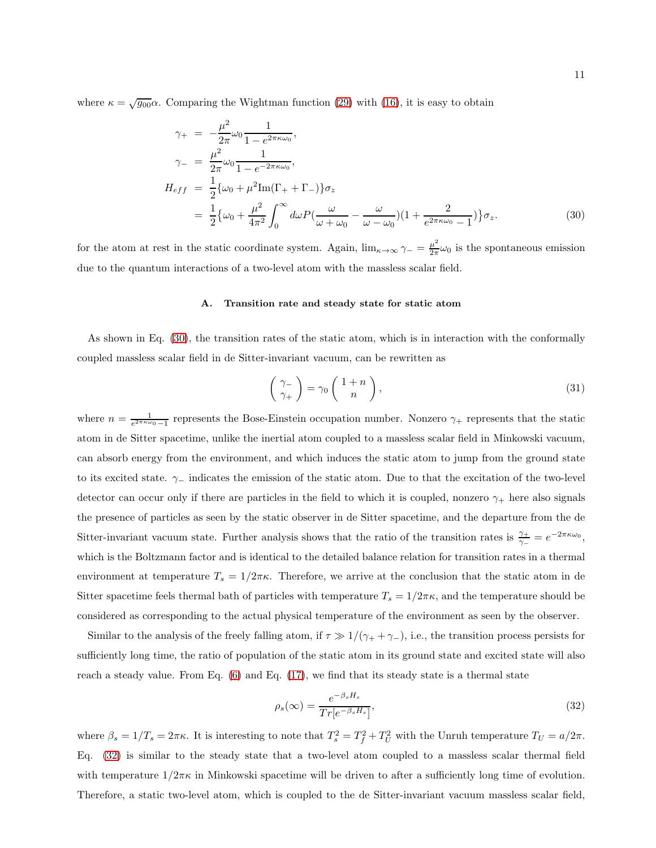where  $\kappa = \sqrt{g_{00}}\alpha$ . Comparing the Wightman function [\(29\)](#page-9-3) with [\(16\)](#page-6-1), it is easy to obtain

<span id="page-10-0"></span>
$$
\gamma_{+} = -\frac{\mu^{2}}{2\pi}\omega_{0}\frac{1}{1 - e^{2\pi\kappa\omega_{0}}},
$$
\n
$$
\gamma_{-} = \frac{\mu^{2}}{2\pi}\omega_{0}\frac{1}{1 - e^{-2\pi\kappa\omega_{0}}},
$$
\n
$$
H_{eff} = \frac{1}{2}\{\omega_{0} + \mu^{2}\text{Im}(\Gamma_{+} + \Gamma_{-})\}\sigma_{z}
$$
\n
$$
= \frac{1}{2}\{\omega_{0} + \frac{\mu^{2}}{4\pi^{2}}\int_{0}^{\infty}d\omega P(\frac{\omega}{\omega + \omega_{0}} - \frac{\omega}{\omega - \omega_{0}})(1 + \frac{2}{e^{2\pi\kappa\omega_{0}} - 1})\}\sigma_{z}.
$$
\n(30)

for the atom at rest in the static coordinate system. Again,  $\lim_{\kappa \to \infty} \gamma = \frac{\mu^2}{2\pi}$  $\frac{\mu}{2\pi}\omega_0$  is the spontaneous emission due to the quantum interactions of a two-level atom with the massless scalar field.

#### A. Transition rate and steady state for static atom

As shown in Eq. [\(30\)](#page-10-0), the transition rates of the static atom, which is in interaction with the conformally coupled massless scalar field in de Sitter-invariant vacuum, can be rewritten as

$$
\left(\begin{array}{c}\gamma_{-} \\ \gamma_{+}\end{array}\right) = \gamma_{0} \left(\begin{array}{c}1+n \\ n\end{array}\right),\tag{31}
$$

where  $n = \frac{1}{e^{2\pi\kappa\omega_0} - 1}$  represents the Bose-Einstein occupation number. Nonzero  $\gamma_+$  represents that the static atom in de Sitter spacetime, unlike the inertial atom coupled to a massless scalar field in Minkowski vacuum, can absorb energy from the environment, and which induces the static atom to jump from the ground state to its excited state. γ<sup>−</sup> indicates the emission of the static atom. Due to that the excitation of the two-level detector can occur only if there are particles in the field to which it is coupled, nonzero  $\gamma_+$  here also signals the presence of particles as seen by the static observer in de Sitter spacetime, and the departure from the de Sitter-invariant vacuum state. Further analysis shows that the ratio of the transition rates is  $\frac{\gamma_+}{\gamma_-} = e^{-2\pi\kappa\omega_0}$ , which is the Boltzmann factor and is identical to the detailed balance relation for transition rates in a thermal environment at temperature  $T_s = 1/2\pi\kappa$ . Therefore, we arrive at the conclusion that the static atom in de Sitter spacetime feels thermal bath of particles with temperature  $T_s = 1/2\pi\kappa$ , and the temperature should be considered as corresponding to the actual physical temperature of the environment as seen by the observer.

Similar to the analysis of the freely falling atom, if  $\tau \gg 1/(\gamma_+ + \gamma_-)$ , i.e., the transition process persists for sufficiently long time, the ratio of population of the static atom in its ground state and excited state will also reach a steady value. From Eq.  $(6)$  and Eq.  $(17)$ , we find that its steady state is a thermal state

<span id="page-10-1"></span>
$$
\rho_s(\infty) = \frac{e^{-\beta_s H_s}}{Tr[e^{-\beta_s H_s}]},\tag{32}
$$

where  $\beta_s = 1/T_s = 2\pi\kappa$ . It is interesting to note that  $T_s^2 = T_f^2 + T_U^2$  with the Unruh temperature  $T_U = a/2\pi$ . Eq. [\(32\)](#page-10-1) is similar to the steady state that a two-level atom coupled to a massless scalar thermal field with temperature  $1/2\pi\kappa$  in Minkowski spacetime will be driven to after a sufficiently long time of evolution. Therefore, a static two-level atom, which is coupled to the de Sitter-invariant vacuum massless scalar field,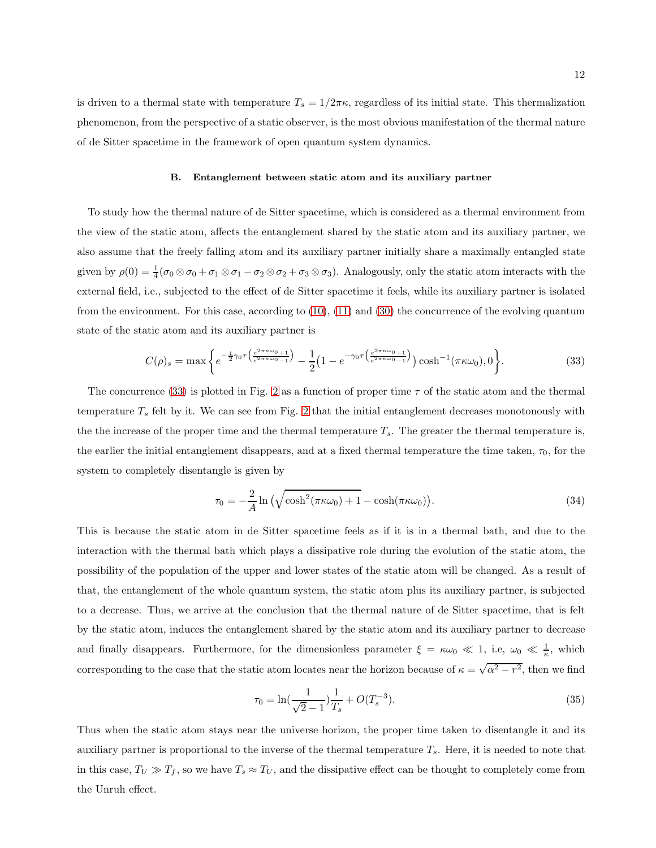is driven to a thermal state with temperature  $T_s = 1/2\pi\kappa$ , regardless of its initial state. This thermalization phenomenon, from the perspective of a static observer, is the most obvious manifestation of the thermal nature of de Sitter spacetime in the framework of open quantum system dynamics.

#### B. Entanglement between static atom and its auxiliary partner

To study how the thermal nature of de Sitter spacetime, which is considered as a thermal environment from the view of the static atom, affects the entanglement shared by the static atom and its auxiliary partner, we also assume that the freely falling atom and its auxiliary partner initially share a maximally entangled state given by  $\rho(0) = \frac{1}{4}(\sigma_0 \otimes \sigma_0 + \sigma_1 \otimes \sigma_1 - \sigma_2 \otimes \sigma_2 + \sigma_3 \otimes \sigma_3)$ . Analogously, only the static atom interacts with the external field, i.e., subjected to the effect of de Sitter spacetime it feels, while its auxiliary partner is isolated from the environment. For this case, according to [\(10\)](#page-4-1), [\(11\)](#page-5-1) and [\(30\)](#page-10-0) the concurrence of the evolving quantum state of the static atom and its auxiliary partner is

<span id="page-11-0"></span>
$$
C(\rho)_s = \max \left\{ e^{-\frac{1}{2}\gamma_0 \tau \left(\frac{e^{2\pi\kappa\omega_0}+1}{e^{2\pi\kappa\omega_0}-1}\right)} - \frac{1}{2} \left(1 - e^{-\gamma_0 \tau \left(\frac{e^{2\pi\kappa\omega_0}+1}{e^{2\pi\kappa\omega_0}-1}\right)}\right) \cosh^{-1}(\pi\kappa\omega_0), 0 \right\}.
$$
 (33)

The concurrence [\(33\)](#page-11-0) is plotted in Fig. [2](#page-12-1) as a function of proper time  $\tau$  of the static atom and the thermal temperature  $T_s$  felt by it. We can see from Fig. [2](#page-12-1) that the initial entanglement decreases monotonously with the the increase of the proper time and the thermal temperature  $T_s$ . The greater the thermal temperature is, the earlier the initial entanglement disappears, and at a fixed thermal temperature the time taken,  $\tau_0$ , for the system to completely disentangle is given by

$$
\tau_0 = -\frac{2}{A} \ln \left( \sqrt{\cosh^2(\pi \kappa \omega_0) + 1} - \cosh(\pi \kappa \omega_0) \right).
$$
 (34)

This is because the static atom in de Sitter spacetime feels as if it is in a thermal bath, and due to the interaction with the thermal bath which plays a dissipative role during the evolution of the static atom, the possibility of the population of the upper and lower states of the static atom will be changed. As a result of that, the entanglement of the whole quantum system, the static atom plus its auxiliary partner, is subjected to a decrease. Thus, we arrive at the conclusion that the thermal nature of de Sitter spacetime, that is felt by the static atom, induces the entanglement shared by the static atom and its auxiliary partner to decrease and finally disappears. Furthermore, for the dimensionless parameter  $\xi = \kappa \omega_0 \ll 1$ , i.e,  $\omega_0 \ll \frac{1}{\kappa}$ , which corresponding to the case that the static atom locates near the horizon because of  $\kappa = \sqrt{\alpha^2 - r^2}$ , then we find

$$
\tau_0 = \ln\left(\frac{1}{\sqrt{2}-1}\right)\frac{1}{T_s} + O(T_s^{-3}).\tag{35}
$$

Thus when the static atom stays near the universe horizon, the proper time taken to disentangle it and its auxiliary partner is proportional to the inverse of the thermal temperature  $T_s$ . Here, it is needed to note that in this case,  $T_U \gg T_f$ , so we have  $T_s \approx T_U$ , and the dissipative effect can be thought to completely come from the Unruh effect.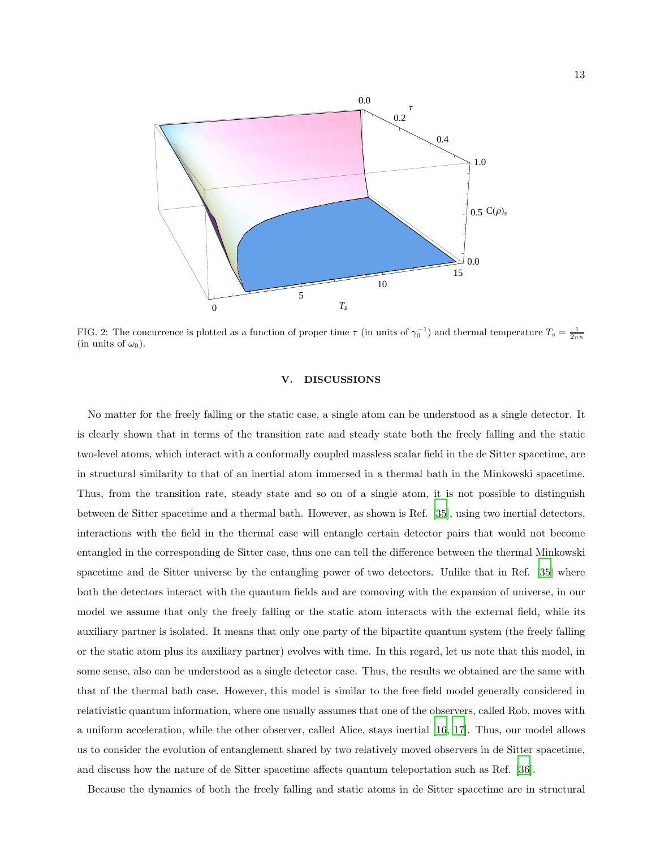

<span id="page-12-1"></span>FIG. 2: The concurrence is plotted as a function of proper time  $\tau$  (in units of  $\gamma_0^{-1}$ ) and thermal temperature  $T_s = \frac{1}{2\pi\kappa}$ (in units of  $\omega_0$ ).

### <span id="page-12-0"></span>V. DISCUSSIONS

No matter for the freely falling or the static case, a single atom can be understood as a single detector. It is clearly shown that in terms of the transition rate and steady state both the freely falling and the static two-level atoms, which interact with a conformally coupled massless scalar field in the de Sitter spacetime, are in structural similarity to that of an inertial atom immersed in a thermal bath in the Minkowski spacetime. Thus, from the transition rate, steady state and so on of a single atom, it is not possible to distinguish between de Sitter spacetime and a thermal bath. However, as shown is Ref. [\[35\]](#page-14-29), using two inertial detectors, interactions with the field in the thermal case will entangle certain detector pairs that would not become entangled in the corresponding de Sitter case, thus one can tell the difference between the thermal Minkowski spacetime and de Sitter universe by the entangling power of two detectors. Unlike that in Ref. [\[35](#page-14-29)] where both the detectors interact with the quantum fields and are comoving with the expansion of universe, in our model we assume that only the freely falling or the static atom interacts with the external field, while its auxiliary partner is isolated. It means that only one party of the bipartite quantum system (the freely falling or the static atom plus its auxiliary partner) evolves with time. In this regard, let us note that this model, in some sense, also can be understood as a single detector case. Thus, the results we obtained are the same with that of the thermal bath case. However, this model is similar to the free field model generally considered in relativistic quantum information, where one usually assumes that one of the observers, called Rob, moves with a uniform acceleration, while the other observer, called Alice, stays inertial [\[16](#page-14-14), [17\]](#page-14-15). Thus, our model allows us to consider the evolution of entanglement shared by two relatively moved observers in de Sitter spacetime, and discuss how the nature of de Sitter spacetime affects quantum teleportation such as Ref. [\[36\]](#page-15-0).

Because the dynamics of both the freely falling and static atoms in de Sitter spacetime are in structural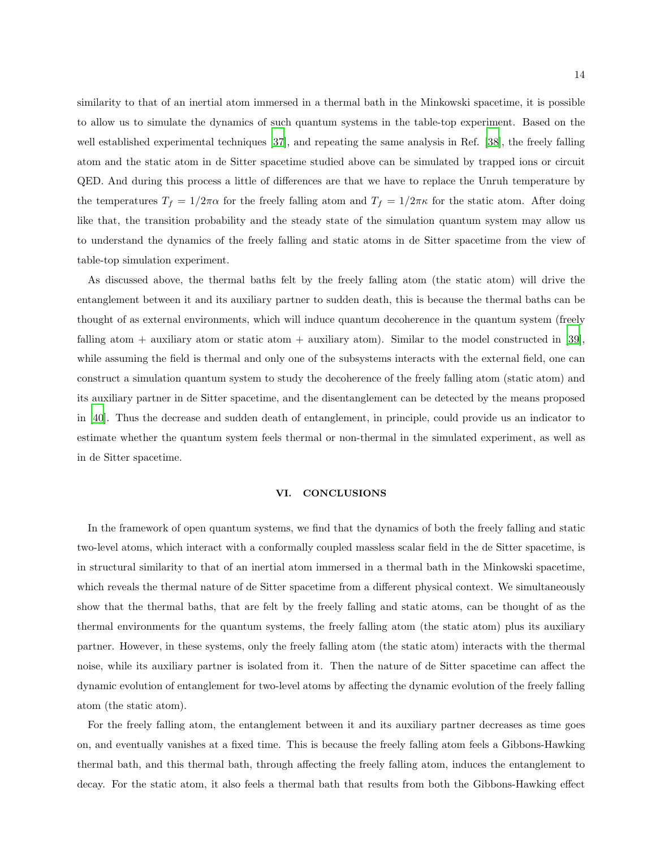similarity to that of an inertial atom immersed in a thermal bath in the Minkowski spacetime, it is possible to allow us to simulate the dynamics of such quantum systems in the table-top experiment. Based on the well established experimental techniques [\[37](#page-15-1)], and repeating the same analysis in Ref. [\[38\]](#page-15-2), the freely falling atom and the static atom in de Sitter spacetime studied above can be simulated by trapped ions or circuit QED. And during this process a little of differences are that we have to replace the Unruh temperature by the temperatures  $T_f = 1/2\pi\alpha$  for the freely falling atom and  $T_f = 1/2\pi\kappa$  for the static atom. After doing like that, the transition probability and the steady state of the simulation quantum system may allow us to understand the dynamics of the freely falling and static atoms in de Sitter spacetime from the view of table-top simulation experiment.

As discussed above, the thermal baths felt by the freely falling atom (the static atom) will drive the entanglement between it and its auxiliary partner to sudden death, this is because the thermal baths can be thought of as external environments, which will induce quantum decoherence in the quantum system (freely falling atom + auxiliary atom or static atom + auxiliary atom). Similar to the model constructed in [\[39\]](#page-15-3), while assuming the field is thermal and only one of the subsystems interacts with the external field, one can construct a simulation quantum system to study the decoherence of the freely falling atom (static atom) and its auxiliary partner in de Sitter spacetime, and the disentanglement can be detected by the means proposed in [\[40\]](#page-15-4). Thus the decrease and sudden death of entanglement, in principle, could provide us an indicator to estimate whether the quantum system feels thermal or non-thermal in the simulated experiment, as well as in de Sitter spacetime.

#### <span id="page-13-0"></span>VI. CONCLUSIONS

In the framework of open quantum systems, we find that the dynamics of both the freely falling and static two-level atoms, which interact with a conformally coupled massless scalar field in the de Sitter spacetime, is in structural similarity to that of an inertial atom immersed in a thermal bath in the Minkowski spacetime, which reveals the thermal nature of de Sitter spacetime from a different physical context. We simultaneously show that the thermal baths, that are felt by the freely falling and static atoms, can be thought of as the thermal environments for the quantum systems, the freely falling atom (the static atom) plus its auxiliary partner. However, in these systems, only the freely falling atom (the static atom) interacts with the thermal noise, while its auxiliary partner is isolated from it. Then the nature of de Sitter spacetime can affect the dynamic evolution of entanglement for two-level atoms by affecting the dynamic evolution of the freely falling atom (the static atom).

For the freely falling atom, the entanglement between it and its auxiliary partner decreases as time goes on, and eventually vanishes at a fixed time. This is because the freely falling atom feels a Gibbons-Hawking thermal bath, and this thermal bath, through affecting the freely falling atom, induces the entanglement to decay. For the static atom, it also feels a thermal bath that results from both the Gibbons-Hawking effect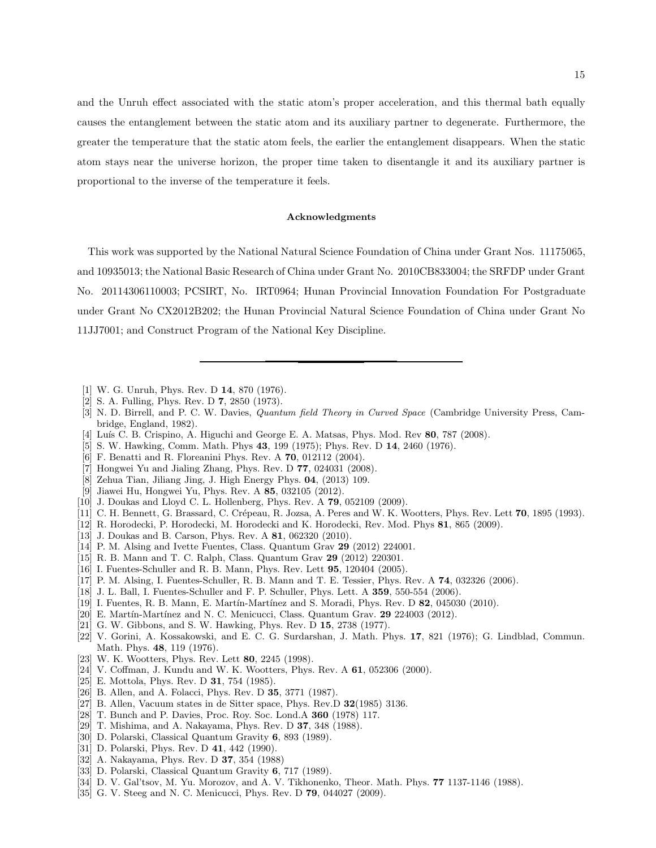and the Unruh effect associated with the static atom's proper acceleration, and this thermal bath equally causes the entanglement between the static atom and its auxiliary partner to degenerate. Furthermore, the greater the temperature that the static atom feels, the earlier the entanglement disappears. When the static atom stays near the universe horizon, the proper time taken to disentangle it and its auxiliary partner is proportional to the inverse of the temperature it feels.

#### Acknowledgments

This work was supported by the National Natural Science Foundation of China under Grant Nos. 11175065, and 10935013; the National Basic Research of China under Grant No. 2010CB833004; the SRFDP under Grant No. 20114306110003; PCSIRT, No. IRT0964; Hunan Provincial Innovation Foundation For Postgraduate under Grant No CX2012B202; the Hunan Provincial Natural Science Foundation of China under Grant No 11JJ7001; and Construct Program of the National Key Discipline.

- <span id="page-14-0"></span>[1] W. G. Unruh, Phys. Rev. D 14, 870 (1976).
- [2] S. A. Fulling, Phys. Rev. D 7, 2850 (1973).
- <span id="page-14-1"></span>[3] N. D. Birrell, and P. C. W. Davies, Quantum field Theory in Curved Space (Cambridge University Press, Cambridge, England, 1982).
- <span id="page-14-2"></span>[4] Luís C. B. Crispino, A. Higuchi and George E. A. Matsas, Phys. Mod. Rev 80, 787 (2008).
- <span id="page-14-3"></span>[5] S. W. Hawking, Comm. Math. Phys 43, 199 (1975); Phys. Rev. D 14, 2460 (1976).
- <span id="page-14-4"></span>[6] F. Benatti and R. Floreanini Phys. Rev. A 70, 012112 (2004).
- <span id="page-14-6"></span>[7] Hongwei Yu and Jialing Zhang, Phys. Rev. D 77, 024031 (2008).
- <span id="page-14-7"></span>[8] Zehua Tian, Jiliang Jing, J. High Energy Phys. 04, (2013) 109.
- <span id="page-14-5"></span>[9] Jiawei Hu, Hongwei Yu, Phys. Rev. A 85, 032105 (2012).
- <span id="page-14-8"></span>[10] J. Doukas and Lloyd C. L. Hollenberg, Phys. Rev. A 79, 052109 (2009).
- <span id="page-14-9"></span>[11] C. H. Bennett, G. Brassard, C. Crépeau, R. Jozsa, A. Peres and W. K. Wootters, Phys. Rev. Lett  $70$ , 1895 (1993).
- <span id="page-14-10"></span>[12] R. Horodecki, P. Horodecki, M. Horodecki and K. Horodecki, Rev. Mod. Phys 81, 865 (2009).
- <span id="page-14-11"></span>[13] J. Doukas and B. Carson, Phys. Rev. A 81, 062320 (2010).
- <span id="page-14-12"></span>[14] P. M. Alsing and Ivette Fuentes, Class. Quantum Grav 29 (2012) 224001.
- <span id="page-14-13"></span>[15] R. B. Mann and T. C. Ralph, Class. Quantum Grav 29 (2012) 220301.
- <span id="page-14-14"></span>[16] I. Fuentes-Schuller and R. B. Mann, Phys. Rev. Lett **95**, 120404 (2005).
- <span id="page-14-15"></span>[17] P. M. Alsing, I. Fuentes-Schuller, R. B. Mann and T. E. Tessier, Phys. Rev. A 74, 032326 (2006).
- <span id="page-14-16"></span>[18] J. L. Ball, I. Fuentes-Schuller and F. P. Schuller, Phys. Lett. A 359, 550-554 (2006).
- <span id="page-14-17"></span>[19] I. Fuentes, R. B. Mann, E. Martín-Martínez and S. Moradi, Phys. Rev. D 82, 045030 (2010).
- <span id="page-14-18"></span>[20] E. Martín-Martínez and N. C. Menicucci, Class. Quantum Grav. 29 224003 (2012).
- <span id="page-14-19"></span>[21] G. W. Gibbons, and S. W. Hawking, Phys. Rev. D 15, 2738 (1977).
- <span id="page-14-20"></span>[22] V. Gorini, A. Kossakowski, and E. C. G. Surdarshan, J. Math. Phys. 17, 821 (1976); G. Lindblad, Commun. Math. Phys. 48, 119 (1976).
- <span id="page-14-21"></span>[23] W. K. Wootters, Phys. Rev. Lett 80, 2245 (1998).
- <span id="page-14-22"></span>[24] V. Coffman, J. Kundu and W. K. Wootters, Phys. Rev. A 61, 052306 (2000).
- <span id="page-14-23"></span>[25] E. Mottola, Phys. Rev. D **31**, 754 (1985).
- <span id="page-14-24"></span>[26] B. Allen, and A. Folacci, Phys. Rev. D 35, 3771 (1987).
- [27] B. Allen, Vacuum states in de Sitter space, Phys. Rev.D 32(1985) 3136.
- [28] T. Bunch and P. Davies, Proc. Roy. Soc. Lond.A 360 (1978) 117.
- <span id="page-14-25"></span>[29] T. Mishima, and A. Nakayama, Phys. Rev. D 37, 348 (1988).
- [30] D. Polarski, Classical Quantum Gravity 6, 893 (1989).
- [31] D. Polarski, Phys. Rev. D 41, 442 (1990).
- <span id="page-14-26"></span>[32] A. Nakayama, Phys. Rev. D 37, 354 (1988)
- <span id="page-14-27"></span>[33] D. Polarski, Classical Quantum Gravity 6, 717 (1989).
- <span id="page-14-28"></span>[34] D. V. Gal'tsov, M. Yu. Morozov, and A. V. Tikhonenko, Theor. Math. Phys. 77 1137-1146 (1988).
- <span id="page-14-29"></span>[35] G. V. Steeg and N. C. Menicucci, Phys. Rev. D **79**, 044027 (2009).